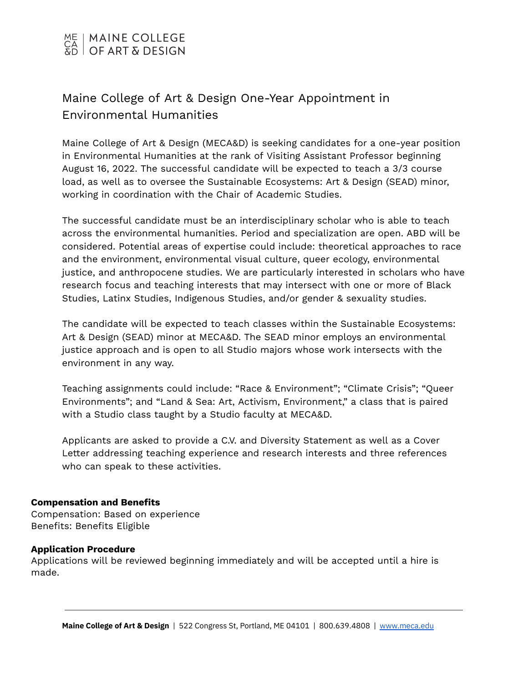

# Maine College of Art & Design One-Year Appointment in Environmental Humanities

Maine College of Art & Design (MECA&D) is seeking candidates for a one-year position in Environmental Humanities at the rank of Visiting Assistant Professor beginning August 16, 2022. The successful candidate will be expected to teach a 3/3 course load, as well as to oversee the Sustainable Ecosystems: Art & Design (SEAD) minor, working in coordination with the Chair of Academic Studies.

The successful candidate must be an interdisciplinary scholar who is able to teach across the environmental humanities. Period and specialization are open. ABD will be considered. Potential areas of expertise could include: theoretical approaches to race and the environment, environmental visual culture, queer ecology, environmental justice, and anthropocene studies. We are particularly interested in scholars who have research focus and teaching interests that may intersect with one or more of Black Studies, Latinx Studies, Indigenous Studies, and/or gender & sexuality studies.

The candidate will be expected to teach classes within the Sustainable Ecosystems: Art & Design (SEAD) minor at MECA&D. The SEAD minor employs an environmental justice approach and is open to all Studio majors whose work intersects with the environment in any way.

Teaching assignments could include: "Race & Environment"; "Climate Crisis"; "Queer Environments"; and "Land & Sea: Art, Activism, Environment," a class that is paired with a Studio class taught by a Studio faculty at MECA&D.

Applicants are asked to provide a C.V. and Diversity Statement as well as a Cover Letter addressing teaching experience and research interests and three references who can speak to these activities.

# **Compensation and Benefits**

Compensation: Based on experience Benefits: Benefits Eligible

# **Application Procedure**

Applications will be reviewed beginning immediately and will be accepted until a hire is made.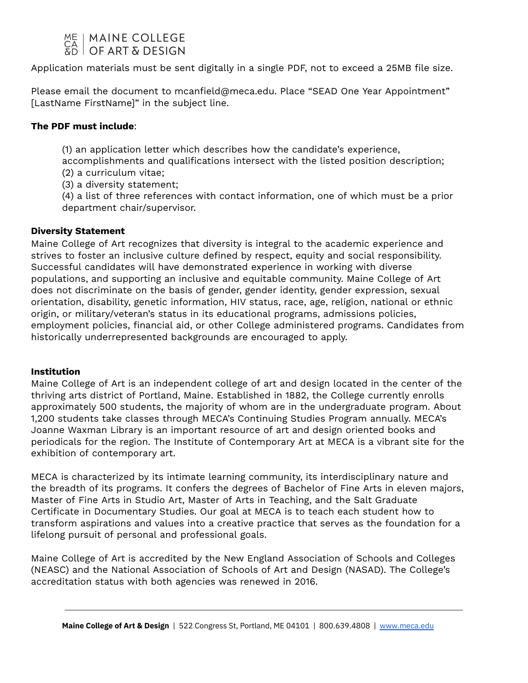

Application materials must be sent digitally in a single PDF, not to exceed a 25MB file size.

Please email the document to mcanfield@meca.edu. Place "SEAD One Year Appointment" [LastName FirstName]" in the subject line.

# **The PDF must include**:

(1) an application letter which describes how the candidate's experience, accomplishments and qualifications intersect with the listed position description;

- (2) a curriculum vitae;
- (3) a diversity statement;

(4) a list of three references with contact information, one of which must be a prior department chair/supervisor.

# **Diversity Statement**

Maine College of Art recognizes that diversity is integral to the academic experience and strives to foster an inclusive culture defined by respect, equity and social responsibility. Successful candidates will have demonstrated experience in working with diverse populations, and supporting an inclusive and equitable community. Maine College of Art does not discriminate on the basis of gender, gender identity, gender expression, sexual orientation, disability, genetic information, HIV status, race, age, religion, national or ethnic origin, or military/veteran's status in its educational programs, admissions policies, employment policies, financial aid, or other College administered programs. Candidates from historically underrepresented backgrounds are encouraged to apply.

# **Institution**

Maine College of Art is an independent college of art and design located in the center of the thriving arts district of Portland, Maine. Established in 1882, the College currently enrolls approximately 500 students, the majority of whom are in the undergraduate program. About 1,200 students take classes through MECA's Continuing Studies Program annually. MECA's Joanne Waxman Library is an important resource of art and design oriented books and periodicals for the region. The Institute of Contemporary Art at MECA is a vibrant site for the exhibition of contemporary art.

MECA is characterized by its intimate learning community, its interdisciplinary nature and the breadth of its programs. It confers the degrees of Bachelor of Fine Arts in eleven majors, Master of Fine Arts in Studio Art, Master of Arts in Teaching, and the Salt Graduate Certificate in Documentary Studies. Our goal at MECA is to teach each student how to transform aspirations and values into a creative practice that serves as the foundation for a lifelong pursuit of personal and professional goals.

Maine College of Art is accredited by the New England Association of Schools and Colleges (NEASC) and the National Association of Schools of Art and Design (NASAD). The College's accreditation status with both agencies was renewed in 2016.